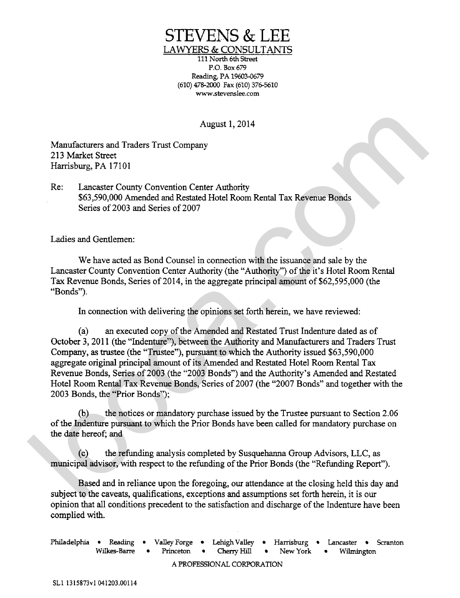## STEVENS & LEE

LAWYERS & CONSULTANTS

111 North 6th **Street**  P.O. Box 679 Reading, PA 19603-0679 (610) **478-ZCKJO** Fax (610) 376-5610 www.stevenslee.com

August 1,2014

Manufacturers and Traders Trust Company 213 Market Street Harrisburg, PA 17101

Re: Lancaster County Convention Center Authority \$63,590,000 Amended and Restated Hotel Room Rental Tax Revenue Bonds Series of 2003 and Series of 2007

Ladies and Gentlemen:

We have acted as Bond Counsel in connection with the issuance and sale by the Lancaster County Convention Center Authority (the "Authority") of the it's Hotel Room Rental Tax Revenue Bonds, Series of 2014, in the aggregate principal amount of \$62,595,000 (the "Bonds").

In connection with delivering the opinions set forth herein, we have reviewed:

(a) an executed copy of the Amended and Restated Trust Indenture dated as of October 3, 2011 (the "Indenture"), between the Authority and Manufacturers and Traders Trust Company, as trustee (the "Trustee"), pursuant to which the Authority issued \$63,590,000 aggregate original principal amount of its Amended and Restated Hotel Room Rental Tax Revenue Bonds, Series of 2003 (the "2003 Bonds") and the Authority's Amended and Restated Hotel Room Rental Tax Revenue Bonds, Series of 2007 (the "2007 Bonds" and together with the 2003 Bonds, the "Prior Bonds"); August 1, 2014<br>
Manufacturers and Traders Trust Company<br>
213 Marks Street, 2016<br>
Harrisburg, P.A. (7101)<br>
Re: Lancaster County Convention Center Authority<br>
46: Lancaster County Convention Center Authority<br>
Street of 2003

(b) the notices or mandatory purchase issued by the Trustee pursuant to Section 2.06 of the Indenture pursuant to which the Prior Bonds have been calIed for mandatory purchase on the date hereof; and

(c) the refunding analysis completed by Susquehanna Group Advisors, LLC, as municipal advisor, with respect to the refunding of the Prior Bonds (the "Refunding Report").

Based and in reliance upon the foregoing, our attendance at the closing held this day and subject to the caveats, qualifications, exceptions and assumptions set forth herein, it is our opinion that all conditions precedent to the satisfaction and discharge of the Indenture have been complied with.

Philadelphia • Reading • Valley Forge • Lehigh Valley • Harrisburg • Lancaster • Scranton<br>Wilkes-Barre • Princeton • Cherry Hill • New York • Wilmington Wilkes-Barre • Princeton • Cherry Hill • New York • Wilmington A PROFESSIONAL CORPORATION